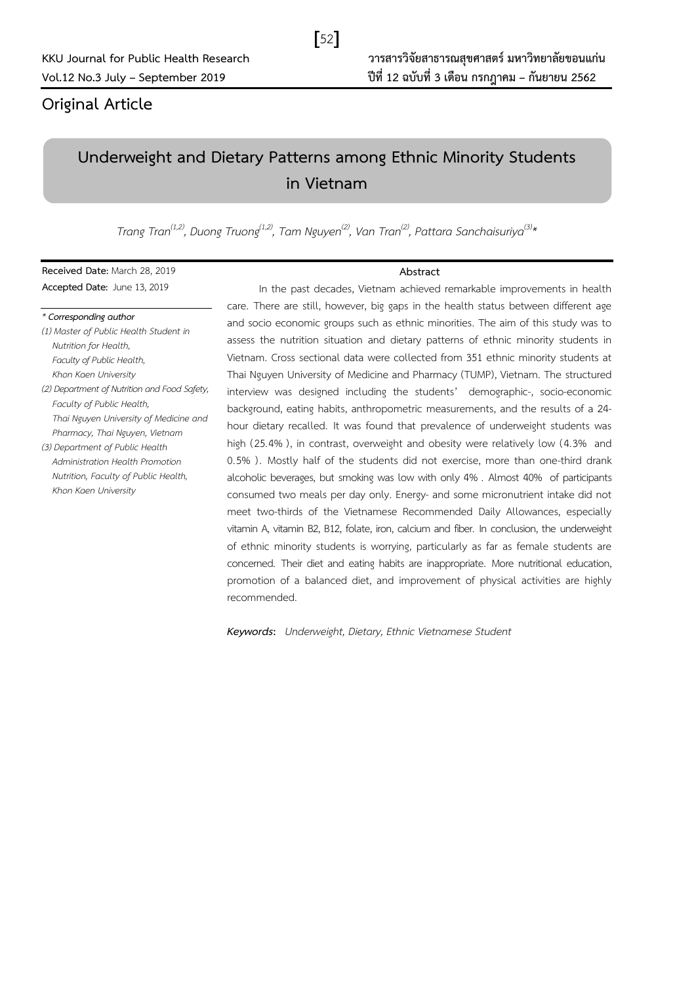## **Original Article**

# **Underweight and Dietary Patterns among Ethnic Minority Students in Vietnam**

 $52$ 

Trang Tran<sup>(1,2)</sup>, Duong Truong<sup>(1,2)</sup>, Tam Nguyen<sup>(2)</sup>, Van Tran<sup>(2)</sup>, Pattara Sanchaisuriya<sup>(3)</sup>\*

**Received Date:** March 28, 2019 **Accepted Date:** June 13, 2019

### *\* Corresponding author*

*(1) Master of Public Health Student in Nutrition for Health, Faculty of Public Health, Khon Kaen University (2) Department of Nutrition and Food Safety, Faculty of Public Health, Thai Nguyen University of Medicine and Pharmacy, Thai Nguyen, Vietnam (3) Department of Public Health* 

*Administration Health Promotion Nutrition, Faculty of Public Health, Khon Kaen University*

### **Abstract**

In the past decades, Vietnam achieved remarkable improvements in health care. There are still, however, big gaps in the health status between different age and socio economic groups such as ethnic minorities. The aim of this study was to assess the nutrition situation and dietary patterns of ethnic minority students in Vietnam. Cross sectional data were collected from 351 ethnic minority students at Thai Nguyen University of Medicine and Pharmacy (TUMP), Vietnam. The structured interview was designed including the students' demographic-, socio-economic background, eating habits, anthropometric measurements, and the results of a 24 hour dietary recalled. It was found that prevalence of underweight students was high (25.4% ), in contrast, overweight and obesity were relatively low (4.3% and 0.5% ). Mostly half of the students did not exercise, more than one-third drank alcoholic beverages, but smoking was low with only 4% . Almost 40% of participants consumed two meals per day only. Energy- and some micronutrient intake did not meet two-thirds of the Vietnamese Recommended Daily Allowances, especially vitamin A, vitamin B2, B12, folate, iron, calcium and fiber. In conclusion, the underweight of ethnic minority students is worrying, particularly as far as female students are concerned. Their diet and eating habits are inappropriate. More nutritional education, promotion of a balanced diet, and improvement of physical activities are highly recommended.

*Keywords***:** *Underweight, Dietary, Ethnic Vietnamese Student*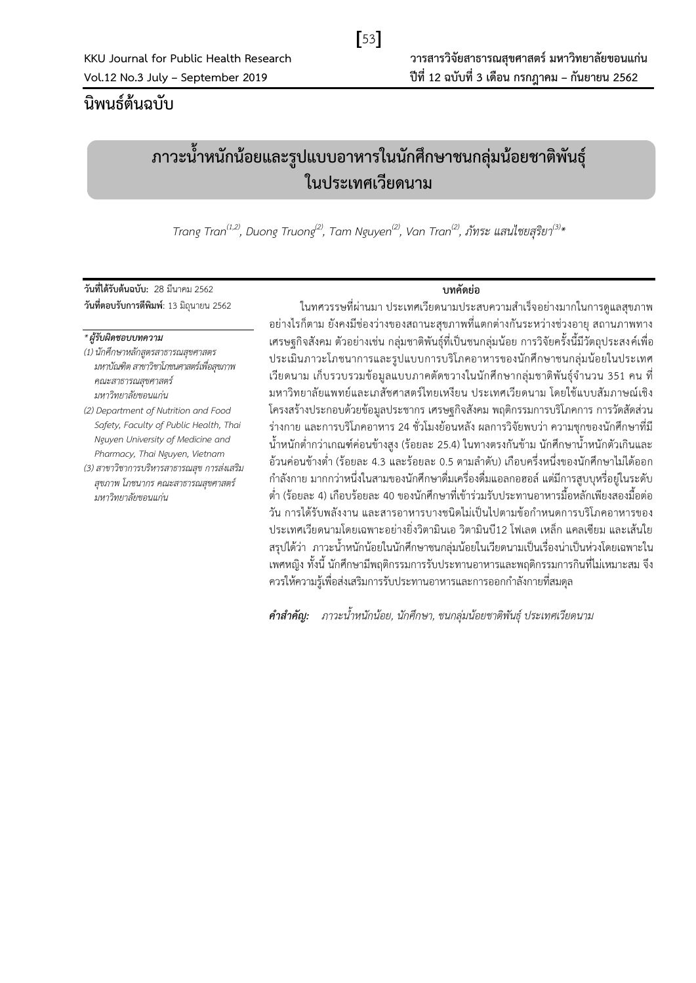# $[53]$

# **นิพนธ์ต้นฉบับ**

# **ภาวะน ้าหนักน้อยและรูปแบบอาหารในนักศึกษาชนกลุ่มน้อยชาติพันธุ์ ในประเทศเวียดนาม**

Trang Tran $^{(1,2)}$ , Duong Truong $^{(2)}$ , Tam Nguyen $^{(2)}$ , Van Tran $^{(2)}$ , ภัทระ แสนไชยสุริยา $^{(3)}{}^{\star}$ 

**วันที่ได้รับต้นฉบับ:** 28 มีนาคม 2562 **วันที่ตอบรับการตีพิมพ์**: 13 มิถุนายน 2562

### **บทคัดย่อ**

### *\* ผู้รับผิดชอบบทความ*

*(1) นักศึกษาหลักสูตรสาธารณสุขศาสตร มหาบัณฑิต สาขาวิชาโภชนศาสตร์เพื่อสุขภาพ คณะสาธารณสุขศาสตร์ มหาวิทยาลัยขอนแก่น*

*(2) Department of Nutrition and Food Safety, Faculty of Public Health, Thai Nguyen University of Medicine and Pharmacy, Thai Nguyen, Vietnam*

*(3) สาขาวิชาการบริหารสาธารณสุข การส่งเสริม สุขภาพ โภชนากร คณะสาธารณสุขศาสตร์ มหาวิทยาลัยขอนแก่น*

ในทศวรรษที่ผ่านมา ประเทศเวียดนามประสบความสำเร็จอย่างมากในการดูแลสุขภาพ อย่างไรก็ตาม ยังคงมีช่องว่างของสถานะสุขภาพที่แตกต่างกันระหว่างช่วงอายุ สถานภาพทาง เศรษฐกิจสังคม ตัวอย่างเช่น กลุ่มชาติพันธุ์ที่เป็นชนกลุ่มน้อย การวิจัยครั้งนี้มีวัตถุประสงค์เพื่อ ประเมินภาวะโภชนาการและรูปแบบการบริโภคอาหารของนักศึกษาชนกลุ่มน้อยในประเทศ เวียดนาม เก็บรวบรวมข้อมูลแบบภาคตัดขวางในนักศึกษากลุ่มชาติพันธุ์จำนวน 351 คน ที่ มหาวิทยาลัยแพทย์และเภสัชศาสตร์ไทยเหงียน ประเทศเวียดนาม โดยใช้แบบสัมภาษณ์เชิง โครงสร้างประกอบด้วยข้อมูลประชากร เศรษฐกิจสังคม พฤติกรรมการบริโภคการ การวัดสัดส่วน ร่างกาย และการบริโภคอาหาร 24 ชั่วโมงย้อนหลัง ผลการวิจัยพบว่า ความชุกของนักศึกษาที่มี ้น้ำหนักต่ำกว่าเกณฑ์ค่อนข้างสูง (ร้อยละ 25.4) ในทางตรงกันข้าม นักศึกษาน้ำหนักตัวเกินและ ้อ้วนค่อนข้างต่ำ (ร้อยละ 4.3 และร้อยละ 0.5 ตามลำดับ) เกือบครึ่งหนึ่งของนักศึกษาไม่ได้ออก ก าลังกาย มากกว่าหนึ่งในสามของนักศึกษาดื่มเครื่องดื่มแอลกอฮอล์ แต่มีการสูบบุหรี่อยู่ในระดับ ้ต่ำ (ร้อยละ 4) เกือบร้อยละ 40 ของนักศึกษาที่เข้าร่วมรับประทานอาหารมื้อหลักเพียงสองมื้อต่อ วัน การได้รับพลังงาน และสารอาหารบางชนิดไม่เป็นไปตามข้อกำหนดการบริโภคอาหารของ ประเทศเวียดนามโดยเฉพาะอย่างยิ่งวิตามินเอ วิตามินบี12 โฟเลต เหล็ก แคลเซียม และเส้นใย ้สรุปได้ว่า ภาวะน้ำหนักน้อยในนักศึกษาชนกลุ่มน้อยในเวียดนามเป็นเรื่องน่าเป็นห่วงโดยเฉพาะใน เพศหญิง ทั้งนี้ นักศึกษามีพฤติกรรมการรับประทานอาหารและพฤติกรรมการกินที่ไม่เหมาะสม จึง ควรให้ความรู้เพื่อส่งเสริมการรับประทานอาหารและการออกกำลังกายที่สมดุล

*ค าส าคัญ: ภาวะน ้าหนักน้อย, นักศึกษา, ชนกลุ่มน้อยชาติพันธุ์ ประเทศเวียดนาม*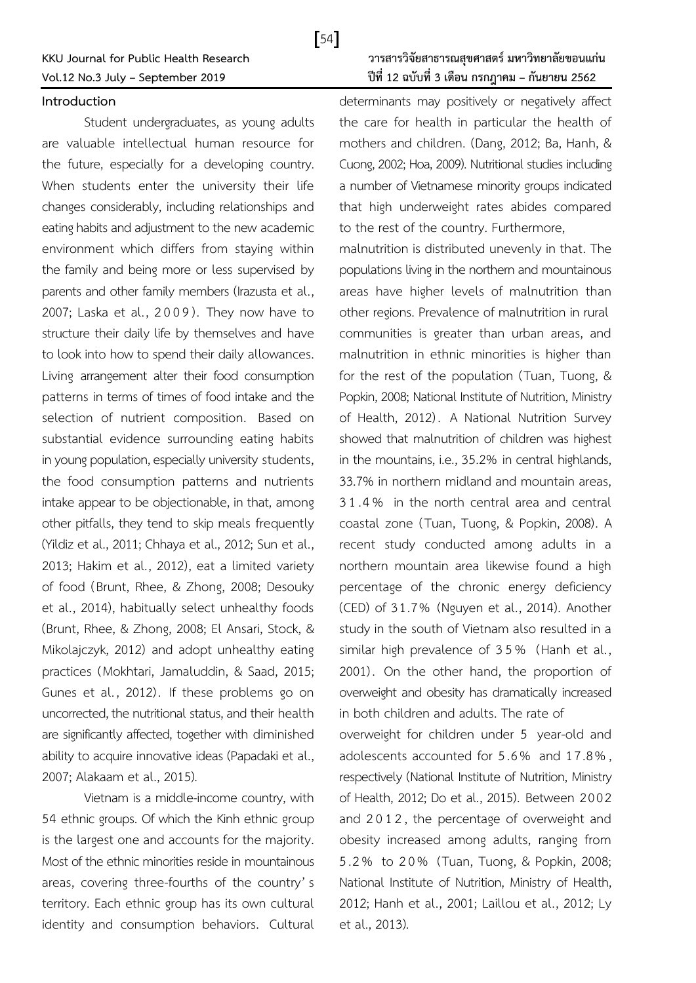### **Introduction**

Student undergraduates, as young adults are valuable intellectual human resource for the future, especially for a developing country. When students enter the university their life changes considerably, including relationships and eating habits and adjustment to the new academic environment which differs from staying within the family and being more or less supervised by parents and other family members (Irazusta et al., 2007; Laska et al., 2009). They now have to structure their daily life by themselves and have to look into how to spend their daily allowances. Living arrangement alter their food consumption patterns in terms of times of food intake and the selection of nutrient composition. Based on substantial evidence surrounding eating habits in young population, especially university students, the food consumption patterns and nutrients intake appear to be objectionable, in that, among other pitfalls, they tend to skip meals frequently (Yildiz et al., 2011; Chhaya et al., 2012; Sun et al., 2013; Hakim et al., 2012), eat a limited variety of food (Brunt, Rhee, & Zhong, 2008; Desouky et al., 2014), habitually select unhealthy foods (Brunt, Rhee, & Zhong, 2008; El Ansari, Stock, & Mikolajczyk, 2012) and adopt unhealthy eating practices (Mokhtari, Jamaluddin, & Saad, 2015; Gunes et al., 2012). If these problems go on uncorrected, the nutritional status, and their health are significantly affected, together with diminished ability to acquire innovative ideas (Papadaki et al., 2007; Alakaam et al., 2015).

Vietnam is a middle-income country, with 54 ethnic groups. Of which the Kinh ethnic group is the largest one and accounts for the majority. Most of the ethnic minorities reside in mountainous areas, covering three-fourths of the country' s territory. Each ethnic group has its own cultural identity and consumption behaviors. Cultural

 $\sqrt{54}$ 

determinants may positively or negatively affect the care for health in particular the health of mothers and children. (Dang, 2012; Ba, Hanh, & Cuong, 2002; Hoa, 2009). Nutritional studies including a number of Vietnamese minority groups indicated that high underweight rates abides compared to the rest of the country. Furthermore,

malnutrition is distributed unevenly in that. The populations living in the northern and mountainous areas have higher levels of malnutrition than other regions. Prevalence of malnutrition in rural communities is greater than urban areas, and malnutrition in ethnic minorities is higher than for the rest of the population (Tuan, Tuong, & Popkin, 2008; National Institute of Nutrition, Ministry of Health, 2012). A National Nutrition Survey showed that malnutrition of children was highest in the mountains, i.e., 35.2% in central highlands, 33.7% in northern midland and mountain areas, 3 1 .4 % in the north central area and central coastal zone (Tuan, Tuong, & Popkin, 2008). A recent study conducted among adults in a northern mountain area likewise found a high percentage of the chronic energy deficiency (CED) of 31.7% (Nguyen et al., 2014). Another study in the south of Vietnam also resulted in a similar high prevalence of 3 5 % (Hanh et al., 2001). On the other hand, the proportion of overweight and obesity has dramatically increased in both children and adults. The rate of

overweight for children under 5 year-old and adolescents accounted for 5 .6% and 17 .8% , respectively (National Institute of Nutrition, Ministry of Health, 2012; Do et al., 2015). Between 2002 and 2012, the percentage of overweight and obesity increased among adults, ranging from 5.2% to 2 0 % (Tuan, Tuong, & Popkin, 2008; National Institute of Nutrition, Ministry of Health, 2012; Hanh et al., 2001; Laillou et al., 2012; Ly et al., 2013).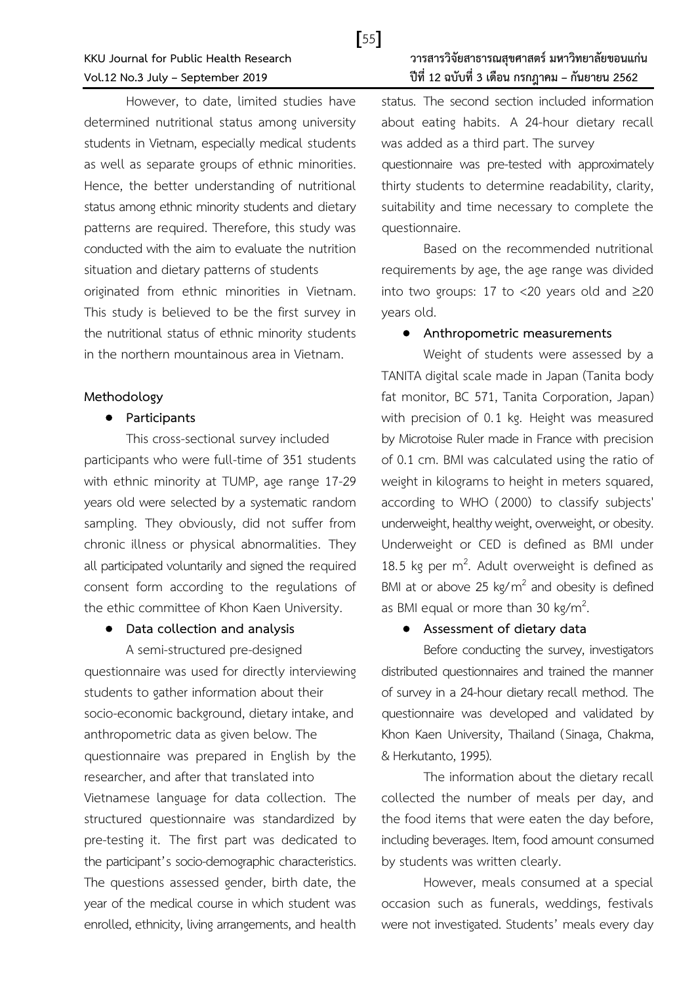However, to date, limited studies have determined nutritional status among university students in Vietnam, especially medical students as well as separate groups of ethnic minorities. Hence, the better understanding of nutritional status among ethnic minority students and dietary patterns are required. Therefore, this study was conducted with the aim to evaluate the nutrition situation and dietary patterns of students originated from ethnic minorities in Vietnam. This study is believed to be the first survey in the nutritional status of ethnic minority students in the northern mountainous area in Vietnam.

### **Methodology**

### **Participants**

This cross-sectional survey included participants who were full-time of 351 students with ethnic minority at TUMP, age range 17-29 years old were selected by a systematic random sampling. They obviously, did not suffer from chronic illness or physical abnormalities. They all participated voluntarily and signed the required consent form according to the regulations of the ethic committee of Khon Kaen University.

### **Data collection and analysis**

A semi-structured pre-designed questionnaire was used for directly interviewing students to gather information about their socio-economic background, dietary intake, and anthropometric data as given below. The questionnaire was prepared in English by the researcher, and after that translated into Vietnamese language for data collection. The structured questionnaire was standardized by pre-testing it. The first part was dedicated to the participant's socio-demographic characteristics. The questions assessed gender, birth date, the year of the medical course in which student was enrolled, ethnicity, living arrangements, and health

## **KKU Journal for Public Health Research วารสารวิจัยสาธารณสุขศาสตร์มหาวิทยาลัยขอนแก่น Vol.12 No.3 July – September 2019 ปีที่ 12 ฉบับที่ 3 เดือน กรกฎาคม – กันยายน 2562**

status. The second section included information about eating habits. A 24-hour dietary recall was added as a third part. The survey questionnaire was pre-tested with approximately thirty students to determine readability, clarity, suitability and time necessary to complete the questionnaire.

Based on the recommended nutritional requirements by age, the age range was divided into two groups: 17 to <20 years old and  $\geq$ 20 years old.

### **Anthropometric measurements**

Weight of students were assessed by a TANITA digital scale made in Japan (Tanita body fat monitor, BC 571, Tanita Corporation, Japan) with precision of 0.1 kg. Height was measured by Microtoise Ruler made in France with precision of 0.1 cm. BMI was calculated using the ratio of weight in kilograms to height in meters squared, according to WHO (2000) to classify subjects' underweight, healthy weight, overweight, or obesity. Underweight or CED is defined as BMI under 18.5 kg per  $m^2$ . Adult overweight is defined as BMI at or above 25  $kg/m^2$  and obesity is defined as BMI equal or more than 30 kg/m<sup>2</sup> .

### **Assessment of dietary data**

Before conducting the survey, investigators distributed questionnaires and trained the manner of survey in a 24-hour dietary recall method. The questionnaire was developed and validated by Khon Kaen University, Thailand (Sinaga, Chakma, & Herkutanto, 1995).

The information about the dietary recall collected the number of meals per day, and the food items that were eaten the day before, including beverages. Item, food amount consumed by students was written clearly.

However, meals consumed at a special occasion such as funerals, weddings, festivals were not investigated. Students' meals every day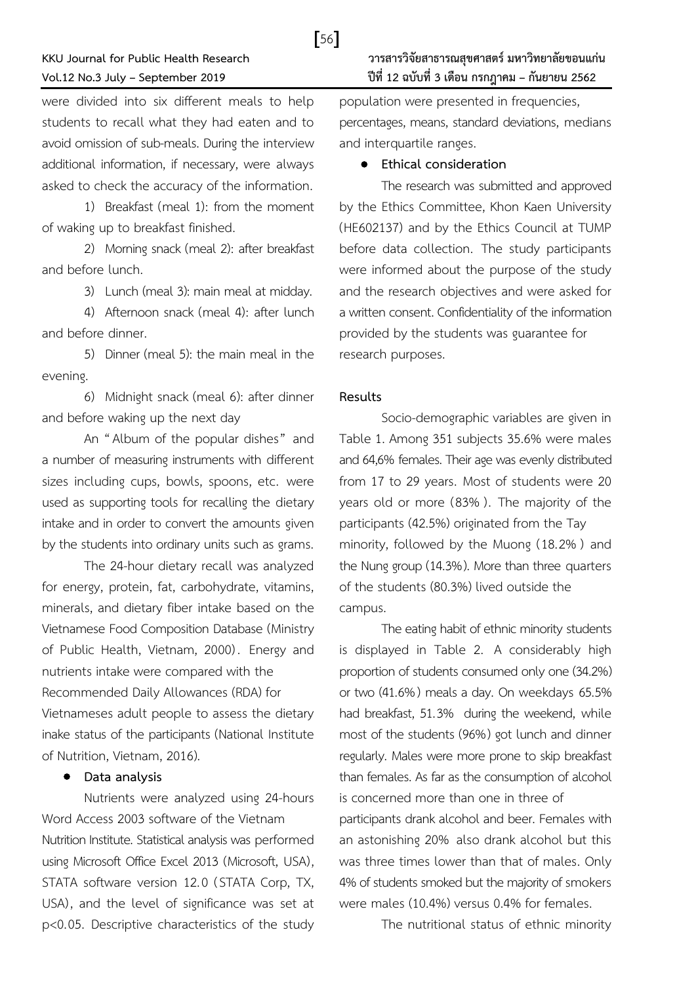were divided into six different meals to help students to recall what they had eaten and to avoid omission of sub-meals. During the interview additional information, if necessary, were always asked to check the accuracy of the information.

1) Breakfast (meal 1): from the moment of waking up to breakfast finished.

2) Morning snack (meal 2): after breakfast and before lunch.

3) Lunch (meal 3): main meal at midday.

4) Afternoon snack (meal 4): after lunch and before dinner.

5) Dinner (meal 5): the main meal in the evening.

6) Midnight snack (meal 6): after dinner and before waking up the next day

An "Album of the popular dishes" and a number of measuring instruments with different sizes including cups, bowls, spoons, etc. were used as supporting tools for recalling the dietary intake and in order to convert the amounts given by the students into ordinary units such as grams.

The 24-hour dietary recall was analyzed for energy, protein, fat, carbohydrate, vitamins, minerals, and dietary fiber intake based on the Vietnamese Food Composition Database (Ministry of Public Health, Vietnam, 2000). Energy and nutrients intake were compared with the Recommended Daily Allowances (RDA) for Vietnameses adult people to assess the dietary inake status of the participants (National Institute of Nutrition, Vietnam, 2016).

### **Data analysis**

Nutrients were analyzed using 24-hours Word Access 2003 software of the Vietnam Nutrition Institute. Statistical analysis was performed using Microsoft Office Excel 2013 (Microsoft, USA), STATA software version 12.0 (STATA Corp, TX, USA), and the level of significance was set at p<0.05. Descriptive characteristics of the study

population were presented in frequencies, percentages, means, standard deviations, medians and interquartile ranges.

### **Ethical consideration**

The research was submitted and approved by the Ethics Committee, Khon Kaen University (HE602137) and by the Ethics Council at TUMP before data collection. The study participants were informed about the purpose of the study and the research objectives and were asked for a written consent. Confidentiality of the information provided by the students was guarantee for research purposes.

### **Results**

[56]

Socio-demographic variables are given in Table 1. Among 351 subjects 35.6% were males and 64,6% females. Their age was evenly distributed from 17 to 29 years. Most of students were 20 years old or more (83% ). The majority of the participants (42.5%) originated from the Tay minority, followed by the Muong (18.2% ) and the Nung group (14.3%). More than three quarters of the students (80.3%) lived outside the campus.

The eating habit of ethnic minority students is displayed in Table 2. A considerably high proportion of students consumed only one (34.2%) or two (41.6%) meals a day. On weekdays 65.5% had breakfast, 51.3% during the weekend, while most of the students (96%) got lunch and dinner regularly. Males were more prone to skip breakfast than females. As far as the consumption of alcohol is concerned more than one in three of participants drank alcohol and beer. Females with an astonishing 20% also drank alcohol but this was three times lower than that of males. Only 4% of students smoked but the majority of smokers were males (10.4%) versus 0.4% for females.

The nutritional status of ethnic minority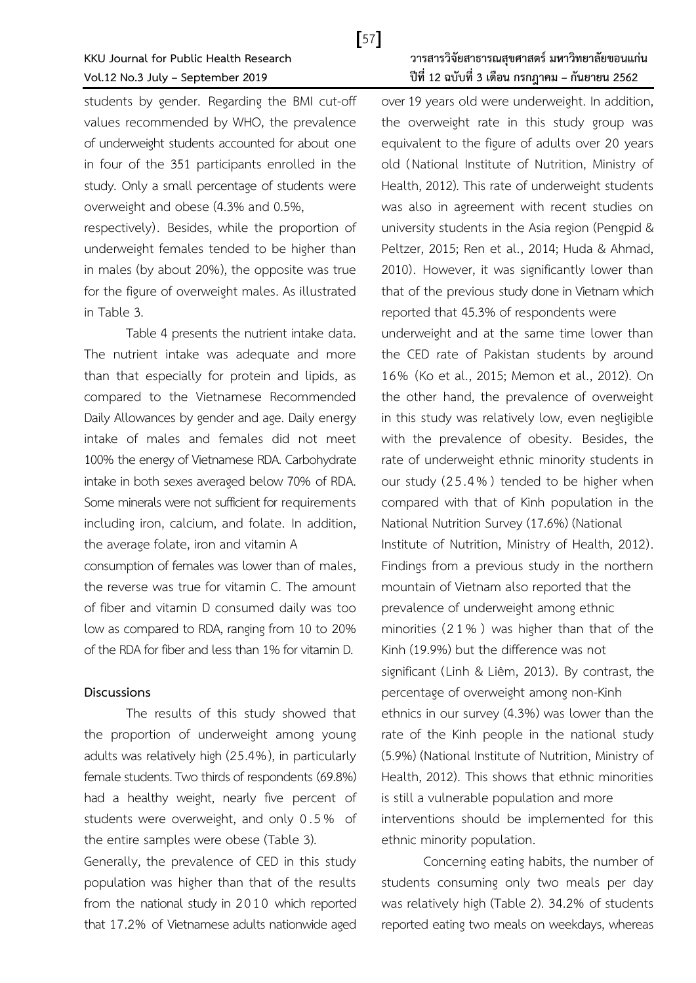students by gender. Regarding the BMI cut-off values recommended by WHO, the prevalence of underweight students accounted for about one in four of the 351 participants enrolled in the study. Only a small percentage of students were overweight and obese (4.3% and 0.5%,

respectively). Besides, while the proportion of underweight females tended to be higher than in males (by about 20%), the opposite was true for the figure of overweight males. As illustrated in Table 3.

Table 4 presents the nutrient intake data. The nutrient intake was adequate and more than that especially for protein and lipids, as compared to the Vietnamese Recommended Daily Allowances by gender and age. Daily energy intake of males and females did not meet 100% the energy of Vietnamese RDA. Carbohydrate intake in both sexes averaged below 70% of RDA. Some minerals were not sufficient for requirements including iron, calcium, and folate. In addition, the average folate, iron and vitamin A

consumption of females was lower than of males, the reverse was true for vitamin C. The amount of fiber and vitamin D consumed daily was too low as compared to RDA, ranging from 10 to 20% of the RDA for fiber and less than 1% for vitamin D.

### **Discussions**

The results of this study showed that the proportion of underweight among young adults was relatively high (25.4%), in particularly female students. Two thirds of respondents (69.8%) had a healthy weight, nearly five percent of students were overweight, and only 0 .5 % of the entire samples were obese (Table 3).

Generally, the prevalence of CED in this study population was higher than that of the results from the national study in 2010 which reported that 17.2% of Vietnamese adults nationwide aged

## **KKU Journal for Public Health Research วารสารวิจัยสาธารณสุขศาสตร์มหาวิทยาลัยขอนแก่น Vol.12 No.3 July – September 2019 ปีที่ 12 ฉบับที่ 3 เดือน กรกฎาคม – กันยายน 2562**

over 19 years old were underweight. In addition, the overweight rate in this study group was equivalent to the figure of adults over 20 years old (National Institute of Nutrition, Ministry of Health, 2012). This rate of underweight students was also in agreement with recent studies on university students in the Asia region (Pengpid & Peltzer, 2015; Ren et al., 2014; Huda & Ahmad, 2010). However, it was significantly lower than that of the previous study done in Vietnam which reported that 45.3% of respondents were underweight and at the same time lower than the CED rate of Pakistan students by around 16% (Ko et al., 2015; Memon et al., 2012). On the other hand, the prevalence of overweight in this study was relatively low, even negligible with the prevalence of obesity. Besides, the rate of underweight ethnic minority students in our study (2 5 .4% ) tended to be higher when compared with that of Kinh population in the National Nutrition Survey (17.6%) (National Institute of Nutrition, Ministry of Health, 2012). Findings from a previous study in the northern mountain of Vietnam also reported that the prevalence of underweight among ethnic minorities (2 1 % ) was higher than that of the Kinh (19.9%) but the difference was not significant (Linh & Liêm, 2013). By contrast, the percentage of overweight among non-Kinh ethnics in our survey (4.3%) was lower than the rate of the Kinh people in the national study (5.9%) (National Institute of Nutrition, Ministry of Health, 2012). This shows that ethnic minorities is still a vulnerable population and more interventions should be implemented for this ethnic minority population.

Concerning eating habits, the number of students consuming only two meals per day was relatively high (Table 2). 34.2% of students reported eating two meals on weekdays, whereas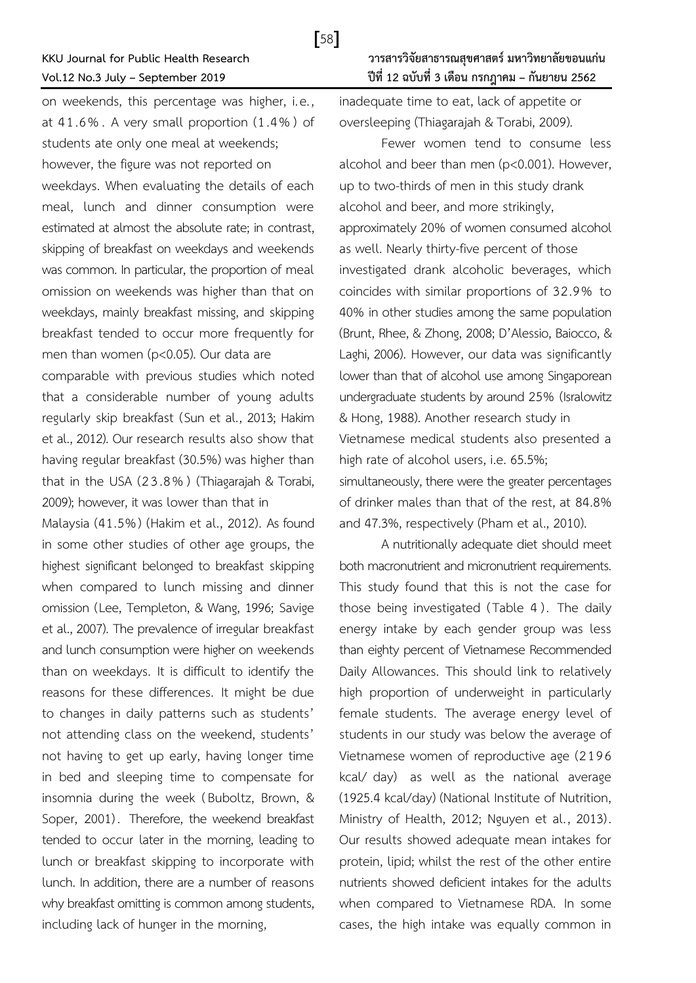on weekends, this percentage was higher, i.e., at 4 1 .6% . A very small proportion (1 .4% ) of students ate only one meal at weekends; however, the figure was not reported on weekdays. When evaluating the details of each meal, lunch and dinner consumption were estimated at almost the absolute rate; in contrast, skipping of breakfast on weekdays and weekends was common. In particular, the proportion of meal omission on weekends was higher than that on weekdays, mainly breakfast missing, and skipping breakfast tended to occur more frequently for men than women (p<0.05). Our data are

comparable with previous studies which noted that a considerable number of young adults regularly skip breakfast (Sun et al., 2013; Hakim et al., 2012). Our research results also show that having regular breakfast (30.5%) was higher than that in the USA (2 3 .8% ) (Thiagarajah & Torabi, 2009); however, it was lower than that in

Malaysia (41.5%) (Hakim et al., 2012). As found in some other studies of other age groups, the highest significant belonged to breakfast skipping when compared to lunch missing and dinner omission (Lee, Templeton, & Wang, 1996; Savige et al., 2007). The prevalence of irregular breakfast and lunch consumption were higher on weekends than on weekdays. It is difficult to identify the reasons for these differences. It might be due to changes in daily patterns such as students' not attending class on the weekend, students' not having to get up early, having longer time in bed and sleeping time to compensate for insomnia during the week (Buboltz, Brown, & Soper, 2001). Therefore, the weekend breakfast tended to occur later in the morning, leading to lunch or breakfast skipping to incorporate with lunch. In addition, there are a number of reasons why breakfast omitting is common among students, including lack of hunger in the morning,

inadequate time to eat, lack of appetite or oversleeping (Thiagarajah & Torabi, 2009).

Fewer women tend to consume less alcohol and beer than men (p<0.001). However, up to two-thirds of men in this study drank alcohol and beer, and more strikingly, approximately 20% of women consumed alcohol as well. Nearly thirty-five percent of those investigated drank alcoholic beverages, which coincides with similar proportions of 32 .9% to 40% in other studies among the same population (Brunt, Rhee, & Zhong, 2008; D'Alessio, Baiocco, & Laghi, 2006). However, our data was significantly lower than that of alcohol use among Singaporean undergraduate students by around 25% (Isralowitz & Hong, 1988). Another research study in Vietnamese medical students also presented a high rate of alcohol users, i.e. 65.5%; simultaneously, there were the greater percentages of drinker males than that of the rest, at 84.8% and 47.3%, respectively (Pham et al., 2010).

A nutritionally adequate diet should meet both macronutrient and micronutrient requirements. This study found that this is not the case for those being investigated (Table 4). The daily energy intake by each gender group was less than eighty percent of Vietnamese Recommended Daily Allowances. This should link to relatively high proportion of underweight in particularly female students. The average energy level of students in our study was below the average of Vietnamese women of reproductive age (2 19 6 kcal/ day) as well as the national average (1925.4 kcal/day) (National Institute of Nutrition, Ministry of Health, 2012; Nguyen et al., 2013). Our results showed adequate mean intakes for protein, lipid; whilst the rest of the other entire nutrients showed deficient intakes for the adults when compared to Vietnamese RDA. In some cases, the high intake was equally common in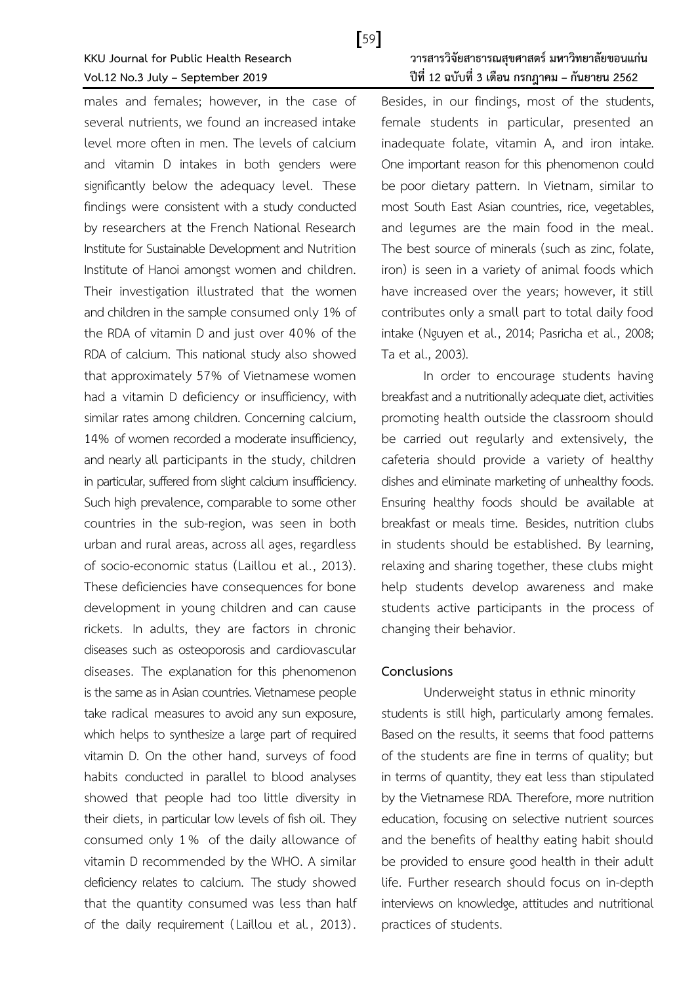males and females; however, in the case of several nutrients, we found an increased intake level more often in men. The levels of calcium and vitamin D intakes in both genders were significantly below the adequacy level. These findings were consistent with a study conducted by researchers at the French National Research Institute for Sustainable Development and Nutrition Institute of Hanoi amongst women and children. Their investigation illustrated that the women and children in the sample consumed only 1% of the RDA of vitamin D and just over 40% of the RDA of calcium. This national study also showed that approximately 57% of Vietnamese women had a vitamin D deficiency or insufficiency, with similar rates among children. Concerning calcium, 14% of women recorded a moderate insufficiency, and nearly all participants in the study, children in particular, suffered from slight calcium insufficiency. Such high prevalence, comparable to some other countries in the sub-region, was seen in both urban and rural areas, across all ages, regardless of socio-economic status (Laillou et al., 2013). These deficiencies have consequences for bone development in young children and can cause rickets. In adults, they are factors in chronic diseases such as osteoporosis and cardiovascular diseases. The explanation for this phenomenon is the same as in Asian countries. Vietnamese people take radical measures to avoid any sun exposure, which helps to synthesize a large part of required vitamin D. On the other hand, surveys of food habits conducted in parallel to blood analyses showed that people had too little diversity in their diets, in particular low levels of fish oil. They consumed only 1 % of the daily allowance of vitamin D recommended by the WHO. A similar deficiency relates to calcium. The study showed that the quantity consumed was less than half of the daily requirement (Laillou et al., 2013).

## **KKU Journal for Public Health Research วารสารวิจัยสาธารณสุขศาสตร์มหาวิทยาลัยขอนแก่น Vol.12 No.3 July – September 2019 ปีที่ 12 ฉบับที่ 3 เดือน กรกฎาคม – กันยายน 2562**

Besides, in our findings, most of the students, female students in particular, presented an inadequate folate, vitamin A, and iron intake. One important reason for this phenomenon could be poor dietary pattern. In Vietnam, similar to most South East Asian countries, rice, vegetables, and legumes are the main food in the meal. The best source of minerals (such as zinc, folate, iron) is seen in a variety of animal foods which have increased over the years; however, it still contributes only a small part to total daily food intake (Nguyen et al., 2014; Pasricha et al., 2008; Ta et al., 2003).

In order to encourage students having breakfast and a nutritionally adequate diet, activities promoting health outside the classroom should be carried out regularly and extensively, the cafeteria should provide a variety of healthy dishes and eliminate marketing of unhealthy foods. Ensuring healthy foods should be available at breakfast or meals time. Besides, nutrition clubs in students should be established. By learning, relaxing and sharing together, these clubs might help students develop awareness and make students active participants in the process of changing their behavior.

### **Conclusions**

Underweight status in ethnic minority students is still high, particularly among females. Based on the results, it seems that food patterns of the students are fine in terms of quality; but in terms of quantity, they eat less than stipulated by the Vietnamese RDA. Therefore, more nutrition education, focusing on selective nutrient sources and the benefits of healthy eating habit should be provided to ensure good health in their adult life. Further research should focus on in-depth interviews on knowledge, attitudes and nutritional practices of students.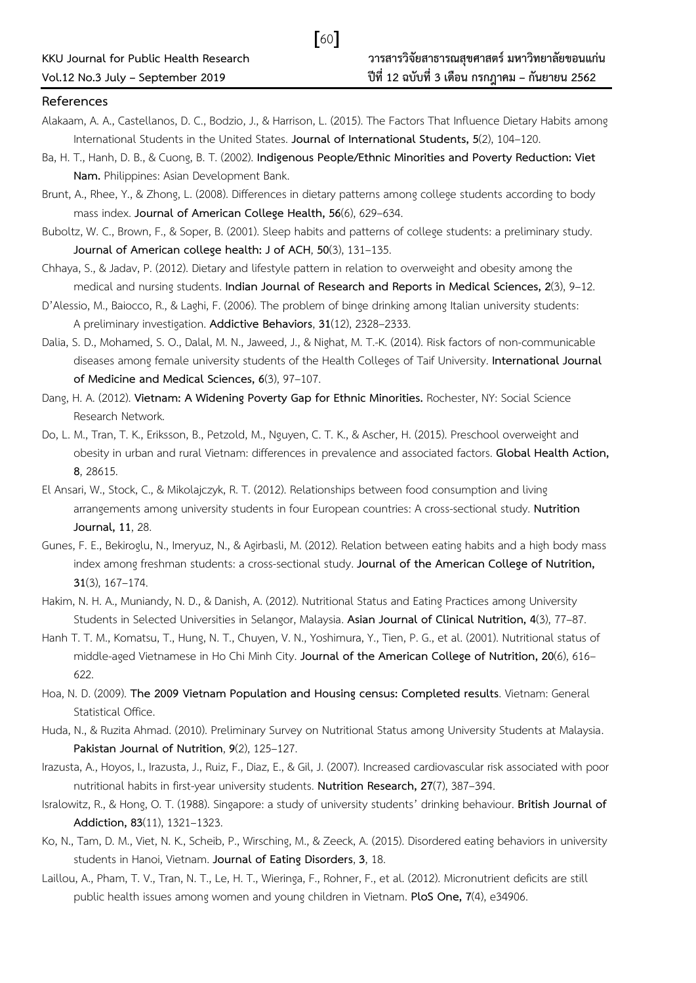### **References**

Alakaam, A. A., Castellanos, D. C., Bodzio, J., & Harrison, L. (2015). The Factors That Influence Dietary Habits among International Students in the United States. **Journal of International Students, 5**(2), 104–120.

[60]

- Ba, H. T., Hanh, D. B., & Cuong, B. T. (2002). **Indigenous People/Ethnic Minorities and Poverty Reduction: Viet Nam.** Philippines: Asian Development Bank.
- Brunt, A., Rhee, Y., & Zhong, L. (2008). Differences in dietary patterns among college students according to body mass index. **Journal of American College Health, 56**(6), 629–634.
- Buboltz, W. C., Brown, F., & Soper, B. (2001). Sleep habits and patterns of college students: a preliminary study. **Journal of American college health: J of ACH**, **50**(3), 131–135.
- Chhaya, S., & Jadav, P. (2012). Dietary and lifestyle pattern in relation to overweight and obesity among the medical and nursing students. **Indian Journal of Research and Reports in Medical Sciences, 2**(3), 9–12.
- D'Alessio, M., Baiocco, R., & Laghi, F. (2006). The problem of binge drinking among Italian university students: A preliminary investigation. **Addictive Behaviors**, **31**(12), 2328–2333.
- Dalia, S. D., Mohamed, S. O., Dalal, M. N., Jaweed, J., & Nighat, M. T.-K. (2014). Risk factors of non-communicable diseases among female university students of the Health Colleges of Taif University. **International Journal of Medicine and Medical Sciences, 6**(3), 97–107.
- Dang, H. A. (2012). **Vietnam: A Widening Poverty Gap for Ethnic Minorities.** Rochester, NY: Social Science Research Network.
- Do, L. M., Tran, T. K., Eriksson, B., Petzold, M., Nguyen, C. T. K., & Ascher, H. (2015). Preschool overweight and obesity in urban and rural Vietnam: differences in prevalence and associated factors. **Global Health Action, 8**, 28615.
- El Ansari, W., Stock, C., & Mikolajczyk, R. T. (2012). Relationships between food consumption and living arrangements among university students in four European countries: A cross-sectional study. **Nutrition Journal, 11**, 28.
- Gunes, F. E., Bekiroglu, N., Imeryuz, N., & Agirbasli, M. (2012). Relation between eating habits and a high body mass index among freshman students: a cross-sectional study. **Journal of the American College of Nutrition, 31**(3), 167–174.
- Hakim, N. H. A., Muniandy, N. D., & Danish, A. (2012). Nutritional Status and Eating Practices among University Students in Selected Universities in Selangor, Malaysia. **Asian Journal of Clinical Nutrition, 4**(3), 77–87.
- Hanh T. T. M., Komatsu, T., Hung, N. T., Chuyen, V. N., Yoshimura, Y., Tien, P. G., et al. (2001). Nutritional status of middle-aged Vietnamese in Ho Chi Minh City. **Journal of the American College of Nutrition, 20**(6), 616– 622.
- Hoa, N. D. (2009). **The 2009 Vietnam Population and Housing census: Completed results**. Vietnam: General Statistical Office.
- Huda, N., & Ruzita Ahmad. (2010). Preliminary Survey on Nutritional Status among University Students at Malaysia. **Pakistan Journal of Nutrition**, **9**(2), 125–127.
- Irazusta, A., Hoyos, I., Irazusta, J., Ruiz, F., Díaz, E., & Gil, J. (2007). Increased cardiovascular risk associated with poor nutritional habits in first-year university students. **Nutrition Research, 27**(7), 387–394.
- Isralowitz, R., & Hong, O. T. (1988). Singapore: a study of university students' drinking behaviour. **British Journal of Addiction, 83**(11), 1321–1323.
- Ko, N., Tam, D. M., Viet, N. K., Scheib, P., Wirsching, M., & Zeeck, A. (2015). Disordered eating behaviors in university students in Hanoi, Vietnam. **Journal of Eating Disorders**, **3**, 18.
- Laillou, A., Pham, T. V., Tran, N. T., Le, H. T., Wieringa, F., Rohner, F., et al. (2012). Micronutrient deficits are still public health issues among women and young children in Vietnam. **PloS One, 7**(4), e34906.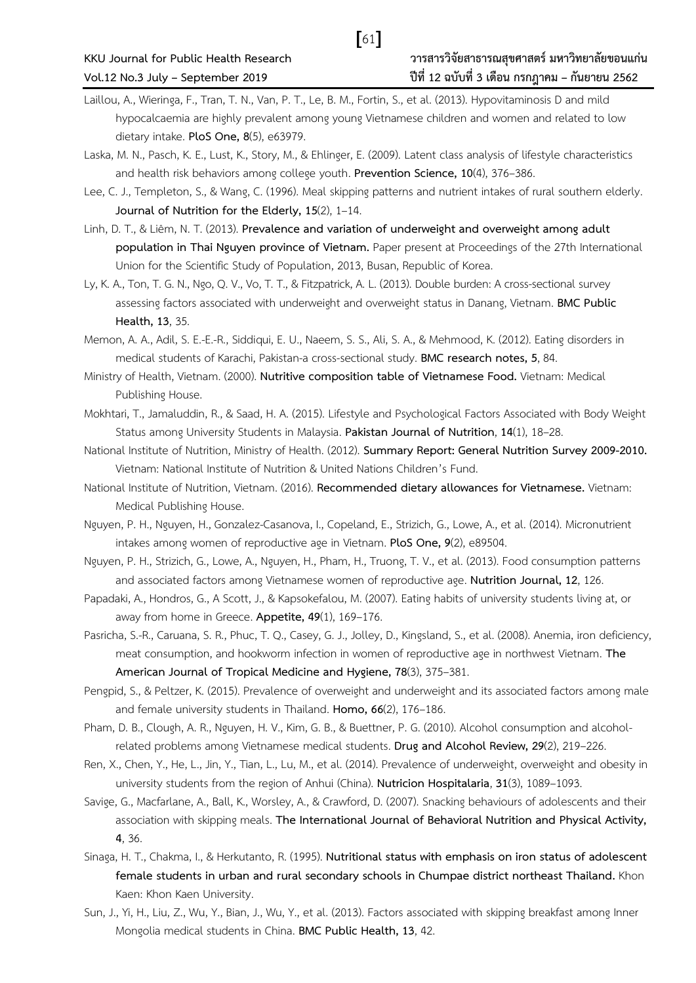- Laillou, A., Wieringa, F., Tran, T. N., Van, P. T., Le, B. M., Fortin, S., et al. (2013). Hypovitaminosis D and mild hypocalcaemia are highly prevalent among young Vietnamese children and women and related to low dietary intake. **PloS One, 8**(5), e63979.
- Laska, M. N., Pasch, K. E., Lust, K., Story, M., & Ehlinger, E. (2009). Latent class analysis of lifestyle characteristics and health risk behaviors among college youth. **Prevention Science, 10**(4), 376–386.
- Lee, C. J., Templeton, S., & Wang, C. (1996). Meal skipping patterns and nutrient intakes of rural southern elderly. **Journal of Nutrition for the Elderly, 15**(2), 1–14.
- Linh, D. T., & Liêm, N. T. (2013). **Prevalence and variation of underweight and overweight among adult population in Thai Nguyen province of Vietnam.** Paper present at Proceedings of the 27th International Union for the Scientific Study of Population, 2013, Busan, Republic of Korea.
- Ly, K. A., Ton, T. G. N., Ngo, Q. V., Vo, T. T., & Fitzpatrick, A. L. (2013). Double burden: A cross-sectional survey assessing factors associated with underweight and overweight status in Danang, Vietnam. **BMC Public Health, 13**, 35.
- Memon, A. A., Adil, S. E.-E.-R., Siddiqui, E. U., Naeem, S. S., Ali, S. A., & Mehmood, K. (2012). Eating disorders in medical students of Karachi, Pakistan-a cross-sectional study. **BMC research notes, 5**, 84.
- Ministry of Health, Vietnam. (2000). **Nutritive composition table of Vietnamese Food.** Vietnam: Medical Publishing House.
- Mokhtari, T., Jamaluddin, R., & Saad, H. A. (2015). Lifestyle and Psychological Factors Associated with Body Weight Status among University Students in Malaysia. **Pakistan Journal of Nutrition**, **14**(1), 18–28.
- National Institute of Nutrition, Ministry of Health. (2012). **Summary Report: General Nutrition Survey 2009-2010.**  Vietnam: National Institute of Nutrition & United Nations Children's Fund.
- National Institute of Nutrition, Vietnam. (2016). **Recommended dietary allowances for Vietnamese.** Vietnam: Medical Publishing House.
- Nguyen, P. H., Nguyen, H., Gonzalez-Casanova, I., Copeland, E., Strizich, G., Lowe, A., et al. (2014). Micronutrient intakes among women of reproductive age in Vietnam. **PloS One, 9**(2), e89504.
- Nguyen, P. H., Strizich, G., Lowe, A., Nguyen, H., Pham, H., Truong, T. V., et al. (2013). Food consumption patterns and associated factors among Vietnamese women of reproductive age. **Nutrition Journal, 12**, 126.
- Papadaki, A., Hondros, G., A Scott, J., & Kapsokefalou, M. (2007). Eating habits of university students living at, or away from home in Greece. **Appetite, 49**(1), 169–176.

Pasricha, S.-R., Caruana, S. R., Phuc, T. Q., Casey, G. J., Jolley, D., Kingsland, S., et al. (2008). Anemia, iron deficiency, meat consumption, and hookworm infection in women of reproductive age in northwest Vietnam. **The American Journal of Tropical Medicine and Hygiene, 78**(3), 375–381.

- Pengpid, S., & Peltzer, K. (2015). Prevalence of overweight and underweight and its associated factors among male and female university students in Thailand. **Homo, 66**(2), 176–186.
- Pham, D. B., Clough, A. R., Nguyen, H. V., Kim, G. B., & Buettner, P. G. (2010). Alcohol consumption and alcoholrelated problems among Vietnamese medical students. **Drug and Alcohol Review, 29**(2), 219–226.
- Ren, X., Chen, Y., He, L., Jin, Y., Tian, L., Lu, M., et al. (2014). Prevalence of underweight, overweight and obesity in university students from the region of Anhui (China). **Nutricion Hospitalaria**, **31**(3), 1089–1093.
- Savige, G., Macfarlane, A., Ball, K., Worsley, A., & Crawford, D. (2007). Snacking behaviours of adolescents and their association with skipping meals. **The International Journal of Behavioral Nutrition and Physical Activity, 4**, 36.
- Sinaga, H. T., Chakma, I., & Herkutanto, R. (1995). **Nutritional status with emphasis on iron status of adolescent female students in urban and rural secondary schools in Chumpae district northeast Thailand.** Khon Kaen: Khon Kaen University.
- Sun, J., Yi, H., Liu, Z., Wu, Y., Bian, J., Wu, Y., et al. (2013). Factors associated with skipping breakfast among Inner Mongolia medical students in China. **BMC Public Health, 13**, 42.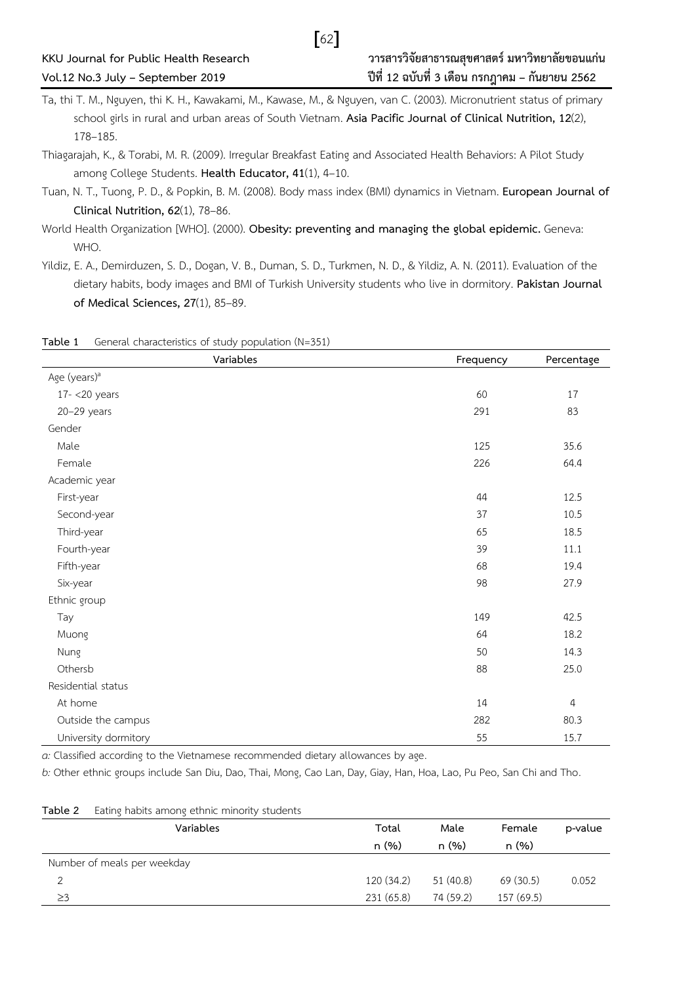Ta, thi T. M., Nguyen, thi K. H., Kawakami, M., Kawase, M., & Nguyen, van C. (2003). Micronutrient status of primary school girls in rural and urban areas of South Vietnam. **Asia Pacific Journal of Clinical Nutrition, 12**(2), 178–185.

 $\lceil 62 \rceil$ 

- Thiagarajah, K., & Torabi, M. R. (2009). Irregular Breakfast Eating and Associated Health Behaviors: A Pilot Study among College Students. **Health Educator, 41**(1), 4–10.
- Tuan, N. T., Tuong, P. D., & Popkin, B. M. (2008). Body mass index (BMI) dynamics in Vietnam. **European Journal of Clinical Nutrition, 62**(1), 78–86.
- World Health Organization [WHO]. (2000). **Obesity: preventing and managing the global epidemic.** Geneva: WHO.
- Yildiz, E. A., Demirduzen, S. D., Dogan, V. B., Duman, S. D., Turkmen, N. D., & Yildiz, A. N. (2011). Evaluation of the dietary habits, body images and BMI of Turkish University students who live in dormitory. **Pakistan Journal of Medical Sciences, 27**(1), 85–89.

| Variables                | Frequency | Percentage     |
|--------------------------|-----------|----------------|
| Age (years) <sup>a</sup> |           |                |
| $17 - 20$ years          | 60        | $17\,$         |
| $20-29$ years            | 291       | 83             |
| Gender                   |           |                |
| Male                     | 125       | 35.6           |
| Female                   | 226       | 64.4           |
| Academic year            |           |                |
| First-year               | 44        | 12.5           |
| Second-year              | 37        | 10.5           |
| Third-year               | 65        | 18.5           |
| Fourth-year              | 39        | 11.1           |
| Fifth-year               | 68        | 19.4           |
| Six-year                 | 98        | 27.9           |
| Ethnic group             |           |                |
| Tay                      | 149       | 42.5           |
| Muong                    | 64        | 18.2           |
| Nung                     | 50        | 14.3           |
| Othersb                  | 88        | 25.0           |
| Residential status       |           |                |
| At home                  | 14        | $\overline{4}$ |
| Outside the campus       | 282       | 80.3           |
| University dormitory     | 55        | 15.7           |

| Table 1 | General characteristics of study population (N=351) |  |  |
|---------|-----------------------------------------------------|--|--|
|         |                                                     |  |  |

*a:* Classified according to the Vietnamese recommended dietary allowances by age.

*b:* Other ethnic groups include San Diu, Dao, Thai, Mong, Cao Lan, Day, Giay, Han, Hoa, Lao, Pu Peo, San Chi and Tho.

| Table 2 | Eating habits among ethnic minority students |  |
|---------|----------------------------------------------|--|
|         |                                              |  |

| Variables                   | Total      | Male      | Female     | p-value |
|-----------------------------|------------|-----------|------------|---------|
|                             | n(%)       | n (%)     | n(%)       |         |
| Number of meals per weekday |            |           |            |         |
|                             | 120 (34.2) | 51 (40.8) | 69 (30.5)  | 0.052   |
| $\geq$ 3                    | 231(65.8)  | 74 (59.2) | 157 (69.5) |         |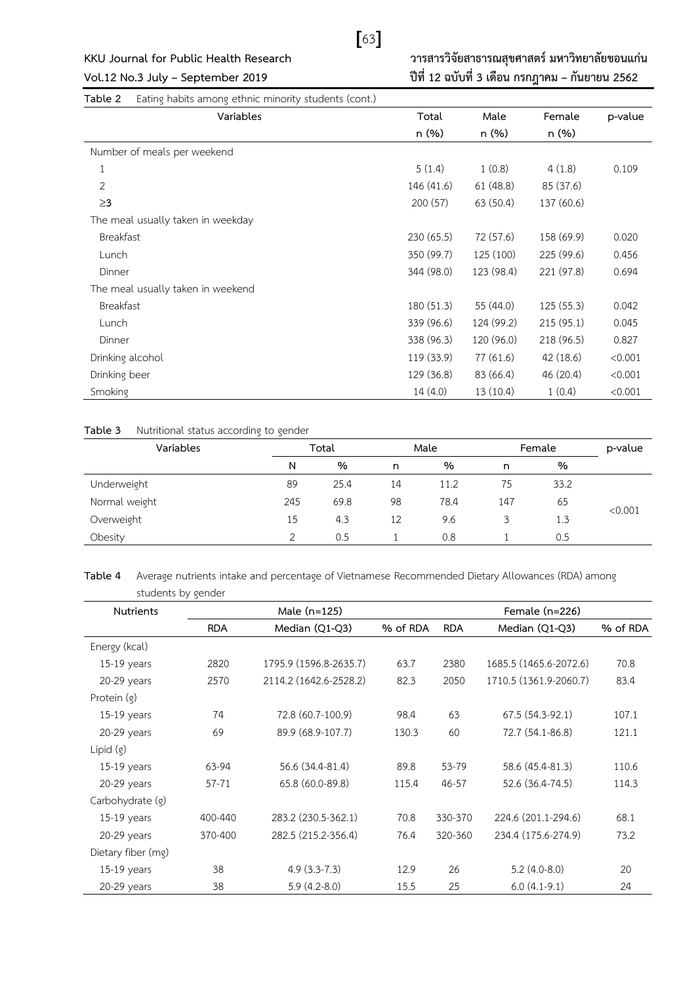

**KKU Journal for Public Health Research วารสารวิจัยสาธารณสุขศาสตร์มหาวิทยาลัยขอนแก่น Vol.12 No.3 July – September 2019 ปีที่ 12 ฉบับที่ 3 เดือน กรกฎาคม – กันยายน 2562**

**Table 2** Eating habits among ethnic minority students (cont.)

| Variables                         | Total      | Male       | Female     | p-value |
|-----------------------------------|------------|------------|------------|---------|
|                                   | n (%)      | n (%)      | n (%)      |         |
| Number of meals per weekend       |            |            |            |         |
| $1\,$                             | 5(1.4)     | 1(0.8)     | 4(1.8)     | 0.109   |
| 2                                 | 146 (41.6) | 61(48.8)   | 85 (37.6)  |         |
| $\geq$ 3                          | 200(57)    | 63(50.4)   | 137 (60.6) |         |
| The meal usually taken in weekday |            |            |            |         |
| Breakfast                         | 230 (65.5) | 72 (57.6)  | 158 (69.9) | 0.020   |
| Lunch                             | 350 (99.7) | 125 (100)  | 225 (99.6) | 0.456   |
| Dinner                            | 344 (98.0) | 123 (98.4) | 221 (97.8) | 0.694   |
| The meal usually taken in weekend |            |            |            |         |
| Breakfast                         | 180 (51.3) | 55 (44.0)  | 125(55.3)  | 0.042   |
| Lunch                             | 339 (96.6) | 124 (99.2) | 215 (95.1) | 0.045   |
| Dinner                            | 338 (96.3) | 120 (96.0) | 218 (96.5) | 0.827   |
| Drinking alcohol                  | 119 (33.9) | 77(61.6)   | 42(18.6)   | < 0.001 |
| Drinking beer                     | 129 (36.8) | 83 (66.4)  | 46 (20.4)  | < 0.001 |
| Smoking                           | 14 (4.0)   | 13(10.4)   | 1(0.4)     | < 0.001 |

### **Table 3** Nutritional status according to gender

| Variables     | Total |      | Male |      | Female |      | p-value |
|---------------|-------|------|------|------|--------|------|---------|
|               | N     | %    | n    | %    | n      | %    |         |
| Underweight   | 89    | 25.4 | 14   | 11.2 | 75     | 33.2 |         |
| Normal weight | 245   | 69.8 | 98   | 78.4 | 147    | 65   |         |
| Overweight    | 15    | 4.3  | 12   | 9.6  |        | 1.3  | < 0.001 |
| Obesity       |       | 0.5  |      | 0.8  |        | 0.5  |         |

**Table 4** Average nutrients intake and percentage of Vietnamese Recommended Dietary Allowances (RDA) among students by gender

| <b>Nutrients</b>   | Male (n=125) |                        |          |            | Female $(n=226)$       |          |  |  |
|--------------------|--------------|------------------------|----------|------------|------------------------|----------|--|--|
|                    | <b>RDA</b>   | Median (Q1-Q3)         | % of RDA | <b>RDA</b> | Median (Q1-Q3)         | % of RDA |  |  |
| Energy (kcal)      |              |                        |          |            |                        |          |  |  |
| $15-19$ years      | 2820         | 1795.9 (1596.8-2635.7) | 63.7     | 2380       | 1685.5 (1465.6-2072.6) | 70.8     |  |  |
| 20-29 years        | 2570         | 2114.2 (1642.6-2528.2) | 82.3     | 2050       | 1710.5 (1361.9-2060.7) | 83.4     |  |  |
| Protein (g)        |              |                        |          |            |                        |          |  |  |
| $15-19$ years      | 74           | 72.8 (60.7-100.9)      | 98.4     | 63         | 67.5 (54.3-92.1)       | 107.1    |  |  |
| 20-29 years        | 69           | 89.9 (68.9-107.7)      | 130.3    | 60         | 72.7 (54.1-86.8)       | 121.1    |  |  |
| Lipid $(g)$        |              |                        |          |            |                        |          |  |  |
| $15-19$ years      | 63-94        | 56.6 (34.4-81.4)       | 89.8     | 53-79      | 58.6 (45.4-81.3)       | 110.6    |  |  |
| 20-29 years        | $57 - 71$    | 65.8 (60.0-89.8)       | 115.4    | 46-57      | 52.6 (36.4-74.5)       | 114.3    |  |  |
| Carbohydrate (g)   |              |                        |          |            |                        |          |  |  |
| $15-19$ years      | 400-440      | 283.2 (230.5-362.1)    | 70.8     | 330-370    | 224.6 (201.1-294.6)    | 68.1     |  |  |
| 20-29 years        | 370-400      | 282.5 (215.2-356.4)    | 76.4     | 320-360    | 234.4 (175.6-274.9)    | 73.2     |  |  |
| Dietary fiber (mg) |              |                        |          |            |                        |          |  |  |
| $15-19$ years      | 38           | $4.9(3.3-7.3)$         | 12.9     | 26         | $5.2(4.0-8.0)$         | 20       |  |  |
| 20-29 years        | 38           | $5.9(4.2-8.0)$         | 15.5     | 25         | $6.0(4.1-9.1)$         | 24       |  |  |